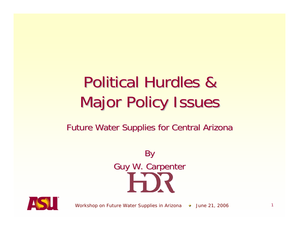### Political Hurdles & Political Hurdles & **Major Policy Issues**

#### Future Water Supplies for Central Arizona





*Workshop on Future Water Supplies in Arizona*  $\rightarrow$  *June 21, 2006* 1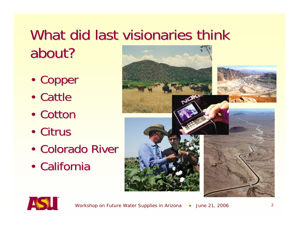### What did last visionaries think about?

- •Copper
- Cattle
- Cotton
- Citrus
- •• Colorado River
- California



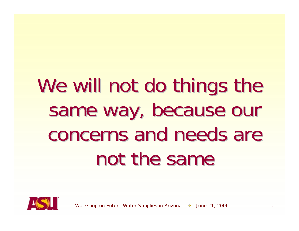# We will not do things the same way, because our concerns and needs are not the same

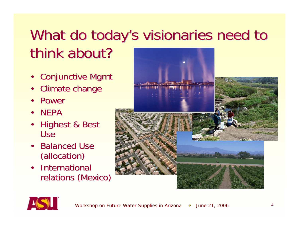### What do today's visionaries need to think about?

- Conjunctive Mgmt
- •**Climate change**
- Power
- NEPA
- Highest & Best Use
- Balanced Use (allocation) (allocation)
- •**International** relations (Mexico)



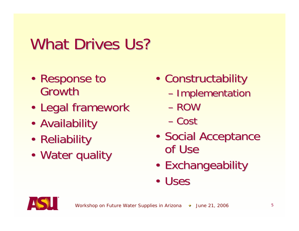### What Drives Us?

- •• Response to Growth
- $\blacksquare$ • Legal framework
- $\epsilon$ • Availability
- •• Reliability
- •• Water quality
- •• Constructability
	- –- Implementation
	- ROW
	- Cost
- •• Social Acceptance of Use
- •• Exchangeability
- Uses

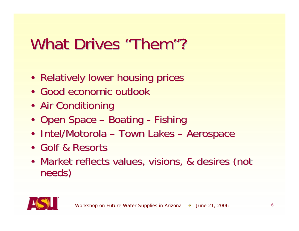### What Drives "Them"?

- Relatively lower housing prices
- Good economic outlook
- Air Conditioning
- Open Space –- Boating -- Fishing
- Intel/Motorola Town Lakes –– Aerospace
- Golf & Resorts
- •• Market reflects values, visions, & desires (not needs)

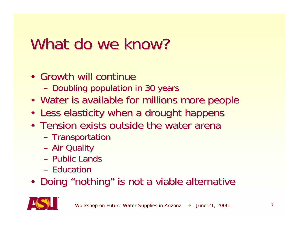### What do we know?

- $\cdot$  Growth will continue
	- –– Doubling population in 30 years
- Water is available for millions more people
- Less elasticity when a drought happens
- Tension exists outside the water arena
	- –- Transportation
	- –– Air Quality
	- Public Lands
	- Education
- Doing "nothing" is not a viable alternative

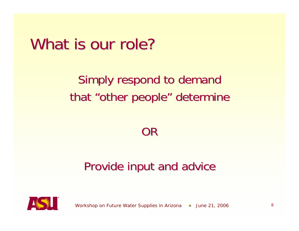### What is our role?

### Simply respond to demand that "other people" determine

#### OR

#### Provide input and advice



*Workshop on Future Water Supplies in Arizona*  $\rightarrow$  June 21, 2006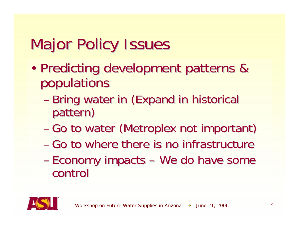- • Predicting development patterns & Predicting development patterns & populations
	- –- Bring water in (Expand in historical pattern)
	- Go to water (Metroplex not important)
	- Go to where there is no infrastructure
	- –- Economy impacts – We do have some control control

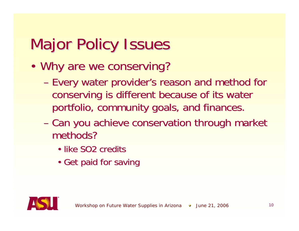- $\blacksquare$ • Why are we conserving?
	- –– Every water provider's reason and method for conserving is different because of its water portfolio, community goals, and finances.
	- –- Can you achieve conservation through market methods?
		- like SO2 credits
		- Get paid for saving

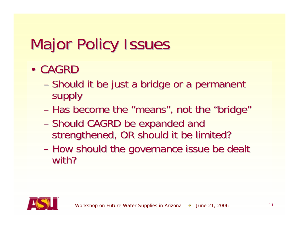- • CAGRD
	- –– Should it be just a bridge or a permanent supply
	- Has become the "means", not the "bridge"
	- –– Should CAGRD be expanded and strengthened, OR should it be limited?
	- –- How should the governance issue be dealt with?

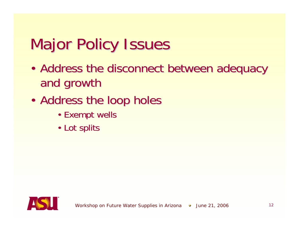- $\blacksquare$ • Address the disconnect between adequacy and growth
- $\blacksquare$ • Address the loop holes
	- Exempt wells
	- Lot splits

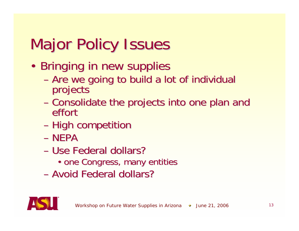- •• Bringing in new supplies
	- –- Are we going to build a lot of individual<br>projects
	- –- Consolidate the projects into one plan and<br>effort
	- –– High competition
	- NEPA
	- Use Federal dollars?
		- one Congress, many entities
	- Avoid Federal dollars?

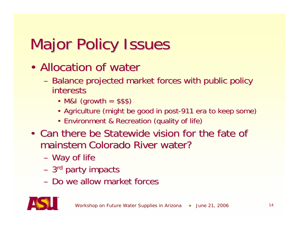- •• Allocation of water
	- –- Balance projected market forces with public policy interests
		- M&I (growth  $= $$ \$\$)
		- Agriculture (might be good in post-911 era to keep some)
		- Environment & Recreation (quality of life)
- Can there be Statewide vision for the fate of mainstem Colorado River water?
	- –– Way of life
	- 3<sup>rd</sup> party impacts
	- Do we allow market forces

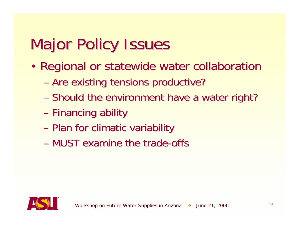- $\blacksquare$ • Regional or statewide water collaboration
	- –– Are existing tensions productive?
	- –- Should the environment have a water right?
	- –– Financing ability
	- –– Plan for climatic variability
	- MUST examine the trade-offs

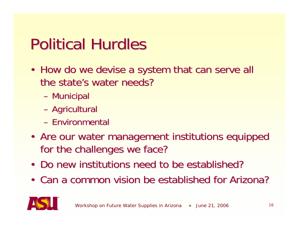### **Political Hurdles**

- How do we devise a system that can serve all the state's water needs?
	- –– Municipal
	- –– Agricultural
	- Environmental
- Are our water management institutions equipped for the challenges we face?
- Do new institutions need to be established?
- Can a common vision be established for Arizona?